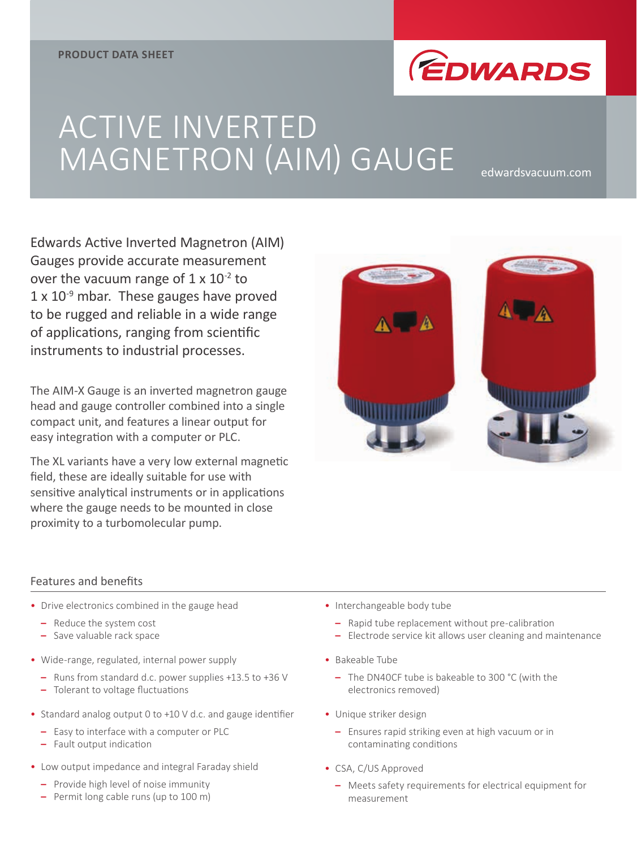

# ACTIVE INVERTED MAGNETRON (AIM) GAUGE edwardsvacuum.com

Edwards Active Inverted Magnetron (AIM) Gauges provide accurate measurement over the vacuum range of  $1 \times 10^{-2}$  to  $1 \times 10^{-9}$  mbar. These gauges have proved to be rugged and reliable in a wide range of applications, ranging from scientific instruments to industrial processes.

The AIM-X Gauge is an inverted magnetron gauge head and gauge controller combined into a single compact unit, and features a linear output for easy integration with a computer or PLC.

The XL variants have a very low external magnetic field, these are ideally suitable for use with sensitive analytical instruments or in applications where the gauge needs to be mounted in close proximity to a turbomolecular pump.



#### Features and benefits

- Drive electronics combined in the gauge head
	- **–** Reduce the system cost
	- **–** Save valuable rack space
- Wide-range, regulated, internal power supply
	- **–** Runs from standard d.c. power supplies +13.5 to +36 V
	- **–** Tolerant to voltage fluctuations
- Standard analog output 0 to +10 V d.c. and gauge identifier
	- **–** Easy to interface with a computer or PLC
	- **–** Fault output indication
- Low output impedance and integral Faraday shield
	- **–** Provide high level of noise immunity
	- **–** Permit long cable runs (up to 100 m)
- Interchangeable body tube
	- **–** Rapid tube replacement without pre-calibration
	- **–** Electrode service kit allows user cleaning and maintenance
- Bakeable Tube
	- **–** The DN40CF tube is bakeable to 300 °C (with the electronics removed)
- Unique striker design
	- **–** Ensures rapid striking even at high vacuum or in contaminating conditions
- CSA, C/US Approved
	- **–** Meets safety requirements for electrical equipment for measurement